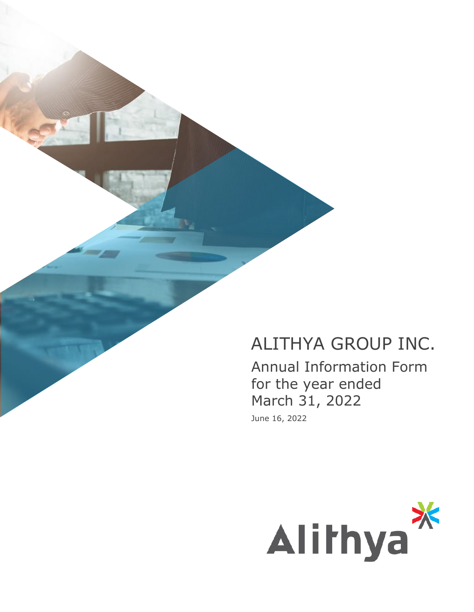# ALITHYA GROUP INC.

Annual Information Form for the year ended March 31, 2022 June 16, 2022

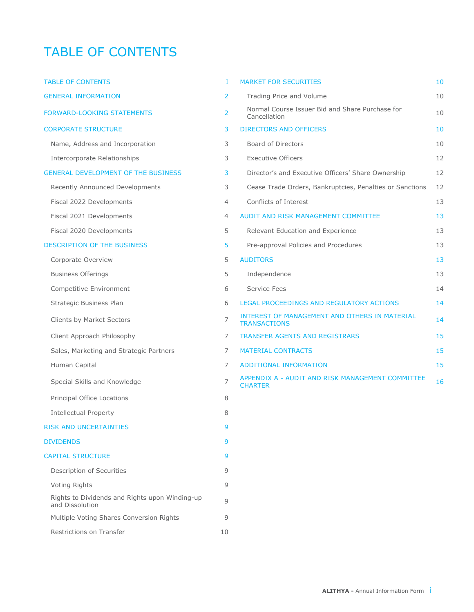# TABLE OF CONTENTS

| <b>TABLE OF CONTENTS</b>                                          | I  | <b>MAR</b>                |
|-------------------------------------------------------------------|----|---------------------------|
| <b>GENERAL INFORMATION</b>                                        | 2  | Тr                        |
| <b>FORWARD-LOOKING STATEMENTS</b>                                 | 2  | No<br>Сā                  |
| <b>CORPORATE STRUCTURE</b>                                        | 3  | <b>DIRE</b>               |
| Name, Address and Incorporation                                   | 3  | Вc                        |
| <b>Intercorporate Relationships</b>                               | 3  | Ex                        |
| <b>GENERAL DEVELOPMENT OF THE BUSINESS</b>                        | 3  | Di                        |
| Recently Announced Developments                                   | 3  | Ce                        |
| Fiscal 2022 Developments                                          | 4  | Cc                        |
| Fiscal 2021 Developments                                          | 4  | <b>AUD</b>                |
| Fiscal 2020 Developments                                          | 5  | Re                        |
| <b>DESCRIPTION OF THE BUSINESS</b>                                | 5  | Pr                        |
| Corporate Overview                                                | 5  | <b>AUD</b>                |
| <b>Business Offerings</b>                                         | 5  | In                        |
| Competitive Environment                                           | 6  | Se                        |
| Strategic Business Plan                                           | 6  | LEG/                      |
| Clients by Market Sectors                                         | 7  | INTE<br>TRAI              |
| Client Approach Philosophy                                        | 7  | <b>TRAI</b>               |
| Sales, Marketing and Strategic Partners                           | 7  | <b>MAT</b>                |
| Human Capital                                                     | 7  | ADD                       |
| Special Skills and Knowledge                                      | 7  | <b>APPE</b><br><b>CHA</b> |
| Principal Office Locations                                        | 8  |                           |
| <b>Intellectual Property</b>                                      | 8  |                           |
| <b>RISK AND UNCERTAINTIES</b>                                     | 9  |                           |
| <b>DIVIDENDS</b>                                                  | 9  |                           |
| <b>CAPITAL STRUCTURE</b>                                          | 9  |                           |
| Description of Securities                                         | 9  |                           |
| Voting Rights                                                     | 9  |                           |
| Rights to Dividends and Rights upon Winding-up<br>and Dissolution | 9  |                           |
| Multiple Voting Shares Conversion Rights                          | 9  |                           |
| Restrictions on Transfer                                          | 10 |                           |

| <b>TABLE OF CONTENTS</b>                   | T.             | <b>MARKET FOR SECURITIES</b>                                                | 10 |
|--------------------------------------------|----------------|-----------------------------------------------------------------------------|----|
| <b>GENERAL INFORMATION</b>                 | 2              | Trading Price and Volume                                                    | 10 |
| <b>FORWARD-LOOKING STATEMENTS</b>          | 2              | Normal Course Issuer Bid and Share Purchase for<br>Cancellation             | 10 |
| <b>CORPORATE STRUCTURE</b>                 | 3              | <b>DIRECTORS AND OFFICERS</b>                                               | 10 |
| Name, Address and Incorporation            | 3              | <b>Board of Directors</b>                                                   | 10 |
| Intercorporate Relationships               | 3              | <b>Executive Officers</b>                                                   | 12 |
| <b>GENERAL DEVELOPMENT OF THE BUSINESS</b> | 3              | Director's and Executive Officers' Share Ownership                          | 12 |
| Recently Announced Developments            | 3              | Cease Trade Orders, Bankruptcies, Penalties or Sanctions                    | 12 |
| Fiscal 2022 Developments                   | $\overline{4}$ | Conflicts of Interest                                                       | 13 |
| Fiscal 2021 Developments                   | $\overline{4}$ | AUDIT AND RISK MANAGEMENT COMMITTEE                                         | 13 |
| Fiscal 2020 Developments                   | 5              | Relevant Education and Experience                                           | 13 |
| DESCRIPTION OF THE BUSINESS                | 5              | Pre-approval Policies and Procedures                                        | 13 |
| Corporate Overview                         | 5              | <b>AUDITORS</b>                                                             | 13 |
| <b>Business Offerings</b>                  | 5              | Independence                                                                | 13 |
| Competitive Environment                    | 6              | Service Fees                                                                | 14 |
| Strategic Business Plan                    | 6              | LEGAL PROCEEDINGS AND REGULATORY ACTIONS                                    | 14 |
| Clients by Market Sectors                  | $\overline{7}$ | <b>INTEREST OF MANAGEMENT AND OTHERS IN MATERIAL</b><br><b>TRANSACTIONS</b> | 14 |
| Client Approach Philosophy                 | 7              | <b>TRANSFER AGENTS AND REGISTRARS</b>                                       | 15 |
| Sales, Marketing and Strategic Partners    | $\overline{7}$ | <b>MATERIAL CONTRACTS</b>                                                   | 15 |
| Human Capital                              | 7              | <b>ADDITIONAL INFORMATION</b>                                               | 15 |
| Special Skills and Knowledge               | $\overline{7}$ | APPENDIX A - AUDIT AND RISK MANAGEMENT COMMITTEE<br><b>CHARTER</b>          | 16 |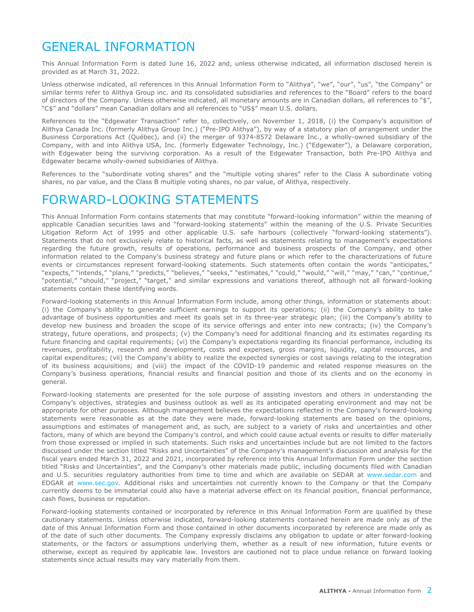# <span id="page-2-0"></span>GENERAL INFORMATION

This Annual Information Form is dated June 16, 2022 and, unless otherwise indicated, all information disclosed herein is provided as at March 31, 2022.

Unless otherwise indicated, all references in this Annual Information Form to "Alithya", "we", "our", "us", "the Company" or similar terms refer to Alithya Group inc. and its consolidated subsidiaries and references to the "Board" refers to the board of directors of the Company. Unless otherwise indicated, all monetary amounts are in Canadian dollars, all references to "\$", "C\$" and "dollars" mean Canadian dollars and all references to "US\$" mean U.S. dollars.

References to the "Edgewater Transaction" refer to, collectively, on November 1, 2018, (i) the Company's acquisition of Alithya Canada Inc. (formerly Alithya Group Inc.) ("Pre-IPO Alithya"), by way of a statutory plan of arrangement under the Business Corporations Act (Québec), and (ii) the merger of 9374-8572 Delaware Inc., a wholly-owned subsidiary of the Company, with and into Alithya USA, Inc. (formerly Edgewater Technology, Inc.) ("Edgewater"), a Delaware corporation, with Edgewater being the surviving corporation. As a result of the Edgewater Transaction, both Pre-IPO Alithya and Edgewater became wholly-owned subsidiaries of Alithya.

References to the "subordinate voting shares" and the "multiple voting shares" refer to the Class A subordinate voting shares, no par value, and the Class B multiple voting shares, no par value, of Alithya, respectively.

### FORWARD-LOOKING STATEMENTS

This Annual Information Form contains statements that may constitute "forward-looking information" within the meaning of applicable Canadian securities laws and "forward-looking statements" within the meaning of the U.S. Private Securities Litigation Reform Act of 1995 and other applicable U.S. safe harbours (collectively "forward-looking statements"). Statements that do not exclusively relate to historical facts, as well as statements relating to management's expectations regarding the future growth, results of operations, performance and business prospects of the Company, and other information related to the Company's business strategy and future plans or which refer to the characterizations of future events or circumstances represent forward-looking statements. Such statements often contain the words "anticipates," "expects," "intends," "plans," "predicts," "believes," "seeks," "estimates," "could," "would," "will," "may," "can," "continue," "potential," "should," "project," "target," and similar expressions and variations thereof, although not all forward-looking statements contain these identifying words.

Forward-looking statements in this Annual Information Form include, among other things, information or statements about: (i) the Company's ability to generate sufficient earnings to support its operations; (ii) the Company's ability to take advantage of business opportunities and meet its goals set in its three-year strategic plan; (iii) the Company's ability to develop new business and broaden the scope of its service offerings and enter into new contracts; (iv) the Company's strategy, future operations, and prospects; (v) the Company's need for additional financing and its estimates regarding its future financing and capital requirements; (vi) the Company's expectations regarding its financial performance, including its revenues, profitability, research and development, costs and expenses, gross margins, liquidity, capital resources, and capital expenditures; (vii) the Company's ability to realize the expected synergies or cost savings relating to the integration of its business acquisitions; and (viii) the impact of the COVID-19 pandemic and related response measures on the Company's business operations, financial results and financial position and those of its clients and on the economy in general.

Forward-looking statements are presented for the sole purpose of assisting investors and others in understanding the Company's objectives, strategies and business outlook as well as its anticipated operating environment and may not be appropriate for other purposes. Although management believes the expectations reflected in the Company's forward-looking statements were reasonable as at the date they were made, forward-looking statements are based on the opinions, assumptions and estimates of management and, as such, are subject to a variety of risks and uncertainties and other factors, many of which are beyond the Company's control, and which could cause actual events or results to differ materially from those expressed or implied in such statements. Such risks and uncertainties include but are not limited to the factors discussed under the section titled "Risks and Uncertainties" of the Company's management's discussion and analysis for the fiscal years ended March 31, 2022 and 2021, incorporated by reference into this Annual Information Form under the section titled "Risks and Uncertainties", and the Company's other materials made public, including documents filed with Canadian and U.S. securities regulatory authorities from time to time and which are available on SEDAR at www.sedar.com and EDGAR at www.sec.gov. Additional risks and uncertainties not currently known to the Company or that the Company currently deems to be immaterial could also have a material adverse effect on its financial position, financial performance, cash flows, business or reputation.

Forward-looking statements contained or incorporated by reference in this Annual Information Form are qualified by these cautionary statements. Unless otherwise indicated, forward-looking statements contained herein are made only as of the date of this Annual Information Form and those contained in other documents incorporated by reference are made only as of the date of such other documents. The Company expressly disclaims any obligation to update or alter forward-looking statements, or the factors or assumptions underlying them, whether as a result of new information, future events or otherwise, except as required by applicable law. Investors are cautioned not to place undue reliance on forward looking statements since actual results may vary materially from them.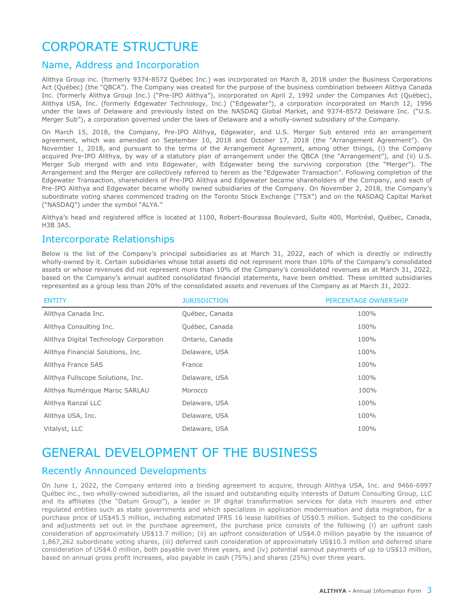# <span id="page-3-0"></span>CORPORATE STRUCTURE

#### Name, Address and Incorporation

Alithya Group inc. (formerly 9374-8572 Québec Inc.) was incorporated on March 8, 2018 under the Business Corporations Act (Québec) (the "QBCA"). The Company was created for the purpose of the business combination between Alithya Canada Inc. (formerly Alithya Group Inc.) ("Pre-IPO Alithya"), incorporated on April 2, 1992 under the Companies Act (Québec), Alithya USA, Inc. (formerly Edgewater Technology, Inc.) ("Edgewater"), a corporation incorporated on March 12, 1996 under the laws of Delaware and previously listed on the NASDAQ Global Market, and 9374-8572 Delaware Inc. ("U.S. Merger Sub"), a corporation governed under the laws of Delaware and a wholly-owned subsidiary of the Company.

On March 15, 2018, the Company, Pre-IPO Alithya, Edgewater, and U.S. Merger Sub entered into an arrangement agreement, which was amended on September 10, 2018 and October 17, 2018 (the "Arrangement Agreement"). On November 1, 2018, and pursuant to the terms of the Arrangement Agreement, among other things, (i) the Company acquired Pre-IPO Alithya, by way of a statutory plan of arrangement under the QBCA (the "Arrangement"), and (ii) U.S. Merger Sub merged with and into Edgewater, with Edgewater being the surviving corporation (the "Merger"). The Arrangement and the Merger are collectively referred to herein as the "Edgewater Transaction". Following completion of the Edgewater Transaction, shareholders of Pre-IPO Alithya and Edgewater became shareholders of the Company, and each of Pre-IPO Alithya and Edgewater became wholly owned subsidiaries of the Company. On November 2, 2018, the Company's subordinate voting shares commenced trading on the Toronto Stock Exchange ("TSX") and on the NASDAQ Capital Market ("NASDAQ") under the symbol "ALYA."

Alithya's head and registered office is located at 1100, Robert-Bourassa Boulevard, Suite 400, Montréal, Québec, Canada, H3B 3A5.

#### Intercorporate Relationships

Below is the list of the Company's principal subsidiaries as at March 31, 2022, each of which is directly or indirectly wholly-owned by it. Certain subsidiaries whose total assets did not represent more than 10% of the Company's consolidated assets or whose revenues did not represent more than 10% of the Company's consolidated revenues as at March 31, 2022, based on the Company's annual audited consolidated financial statements, have been omitted. These omitted subsidiaries represented as a group less than 20% of the consolidated assets and revenues of the Company as at March 31, 2022.

| <b>ENTITY</b>                          | <b>JURISDICTION</b> | PERCENTAGE OWNERSHIP |
|----------------------------------------|---------------------|----------------------|
| Alithya Canada Inc.                    | Québec, Canada      | 100%                 |
| Alithya Consulting Inc.                | Québec, Canada      | 100%                 |
| Alithya Digital Technology Corporation | Ontario, Canada     | 100%                 |
| Alithya Financial Solutions, Inc.      | Delaware, USA       | 100%                 |
| Alithya France SAS                     | France              | 100%                 |
| Alithya Fullscope Solutions, Inc.      | Delaware, USA       | 100%                 |
| Alithya Numérique Maroc SARLAU         | Morocco             | 100%                 |
| Alithya Ranzal LLC                     | Delaware, USA       | 100%                 |
| Alithya USA, Inc.                      | Delaware, USA       | 100%                 |
| Vitalyst, LLC                          | Delaware, USA       | 100%                 |

# GENERAL DEVELOPMENT OF THE BUSINESS

### Recently Announced Developments

On June 1, 2022, the Company entered into a binding agreement to acquire, through Alithya USA, Inc. and 9466-6997 Québec inc., two wholly-owned subsidiaries, all the issued and outstanding equity interests of Datum Consulting Group, LLC and its affiliates (the "Datum Group"), a leader in IP digital transformation services for data rich insurers and other regulated entities such as state governments and which specializes in application modernisation and data migration, for a purchase price of US\$45.5 million, including estimated IFRS 16 lease liabilities of US\$0.5 million. Subject to the conditions and adjustments set out in the purchase agreement, the purchase price consists of the following (i) an upfront cash consideration of approximately US\$13.7 million; (ii) an upfront consideration of US\$4.0 million payable by the issuance of 1,867,262 subordinate voting shares, (iii) deferred cash consideration of approximately US\$10.3 million and deferred share consideration of US\$4.0 million, both payable over three years, and (iv) potential earnout payments of up to US\$13 million, based on annual gross profit increases, also payable in cash (75%) and shares (25%) over three years.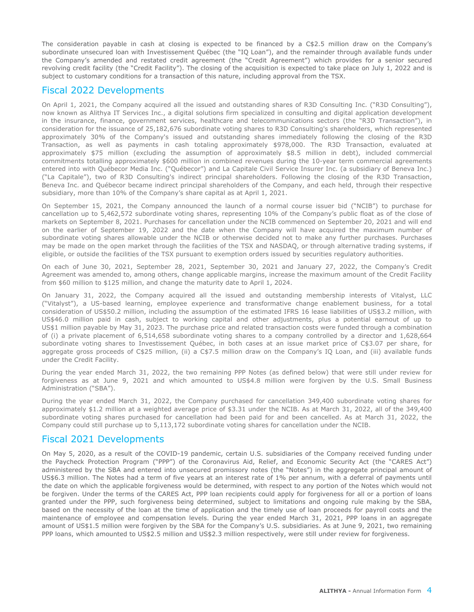<span id="page-4-0"></span>The consideration payable in cash at closing is expected to be financed by a C\$2.5 million draw on the Company's subordinate unsecured loan with Investissement Québec (the "IQ Loan"), and the remainder through available funds under the Company's amended and restated credit agreement (the "Credit Agreement") which provides for a senior secured revolving credit facility (the "Credit Facility"). The closing of the acquisition is expected to take place on July 1, 2022 and is subject to customary conditions for a transaction of this nature, including approval from the TSX.

### Fiscal 2022 Developments

On April 1, 2021, the Company acquired all the issued and outstanding shares of R3D Consulting Inc. ("R3D Consulting"), now known as Alithya IT Services Inc., a digital solutions firm specialized in consulting and digital application development in the insurance, finance, government services, healthcare and telecommunications sectors (the "R3D Transaction"), in consideration for the issuance of 25,182,676 subordinate voting shares to R3D Consulting's shareholders, which represented approximately 30% of the Company's issued and outstanding shares immediately following the closing of the R3D Transaction, as well as payments in cash totaling approximately \$978,000. The R3D Transaction, evaluated at approximately \$75 million (excluding the assumption of approximately \$8.5 million in debt), included commercial commitments totalling approximately \$600 million in combined revenues during the 10-year term commercial agreements entered into with Québecor Media Inc. ("Québecor") and La Capitale Civil Service Insurer Inc. (a subsidiary of Beneva Inc.) ("La Capitale"), two of R3D Consulting's indirect principal shareholders. Following the closing of the R3D Transaction, Beneva Inc. and Québecor became indirect principal shareholders of the Company, and each held, through their respective subsidiary, more than 10% of the Company's share capital as at April 1, 2021.

On September 15, 2021, the Company announced the launch of a normal course issuer bid ("NCIB") to purchase for cancellation up to 5,462,572 subordinate voting shares, representing 10% of the Company's public float as of the close of markets on September 8, 2021. Purchases for cancellation under the NCIB commenced on September 20, 2021 and will end on the earlier of September 19, 2022 and the date when the Company will have acquired the maximum number of subordinate voting shares allowable under the NCIB or otherwise decided not to make any further purchases. Purchases may be made on the open market through the facilities of the TSX and NASDAQ, or through alternative trading systems, if eligible, or outside the facilities of the TSX pursuant to exemption orders issued by securities regulatory authorities.

On each of June 30, 2021, September 28, 2021, September 30, 2021 and January 27, 2022, the Company's Credit Agreement was amended to, among others, change applicable margins, increase the maximum amount of the Credit Facility from \$60 million to \$125 million, and change the maturity date to April 1, 2024.

On January 31, 2022, the Company acquired all the issued and outstanding membership interests of Vitalyst, LLC ("Vitalyst"), a US-based learning, employee experience and transformative change enablement business, for a total consideration of US\$50.2 million, including the assumption of the estimated IFRS 16 lease liabilities of US\$3.2 million, with US\$46.0 million paid in cash, subject to working capital and other adjustments, plus a potential earnout of up to US\$1 million payable by May 31, 2023. The purchase price and related transaction costs were funded through a combination of (i) a private placement of 6,514,658 subordinate voting shares to a company controlled by a director and 1,628,664 subordinate voting shares to Investissement Québec, in both cases at an issue market price of C\$3.07 per share, for aggregate gross proceeds of C\$25 million, (ii) a C\$7.5 million draw on the Company's IQ Loan, and (iii) available funds under the Credit Facility.

During the year ended March 31, 2022, the two remaining PPP Notes (as defined below) that were still under review for forgiveness as at June 9, 2021 and which amounted to US\$4.8 million were forgiven by the U.S. Small Business Administration ("SBA").

During the year ended March 31, 2022, the Company purchased for cancellation 349,400 subordinate voting shares for approximately \$1.2 million at a weighted average price of \$3.31 under the NCIB. As at March 31, 2022, all of the 349,400 subordinate voting shares purchased for cancellation had been paid for and been cancelled. As at March 31, 2022, the Company could still purchase up to 5,113,172 subordinate voting shares for cancellation under the NCIB.

### Fiscal 2021 Developments

On May 5, 2020, as a result of the COVID-19 pandemic, certain U.S. subsidiaries of the Company received funding under the Paycheck Protection Program ("PPP") of the Coronavirus Aid, Relief, and Economic Security Act (the "CARES Act") administered by the SBA and entered into unsecured promissory notes (the "Notes") in the aggregate principal amount of US\$6.3 million. The Notes had a term of five years at an interest rate of 1% per annum, with a deferral of payments until the date on which the applicable forgiveness would be determined, with respect to any portion of the Notes which would not be forgiven. Under the terms of the CARES Act, PPP loan recipients could apply for forgiveness for all or a portion of loans granted under the PPP, such forgiveness being determined, subject to limitations and ongoing rule making by the SBA, based on the necessity of the loan at the time of application and the timely use of loan proceeds for payroll costs and the maintenance of employee and compensation levels. During the year ended March 31, 2021, PPP loans in an aggregate amount of US\$1.5 million were forgiven by the SBA for the Company's U.S. subsidiaries. As at June 9, 2021, two remaining PPP loans, which amounted to US\$2.5 million and US\$2.3 million respectively, were still under review for forgiveness.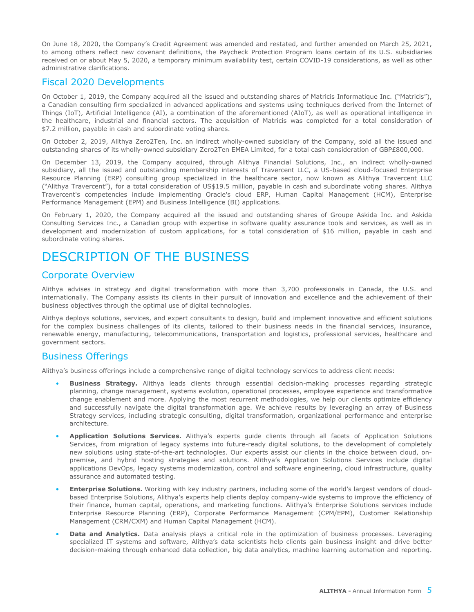<span id="page-5-0"></span>On June 18, 2020, the Company's Credit Agreement was amended and restated, and further amended on March 25, 2021, to among others reflect new covenant definitions, the Paycheck Protection Program loans certain of its U.S. subsidiaries received on or about May 5, 2020, a temporary minimum availability test, certain COVID-19 considerations, as well as other administrative clarifications.

#### Fiscal 2020 Developments

On October 1, 2019, the Company acquired all the issued and outstanding shares of Matricis Informatique Inc. ("Matricis"), a Canadian consulting firm specialized in advanced applications and systems using techniques derived from the Internet of Things (IoT), Artificial Intelligence (AI), a combination of the aforementioned (AIoT), as well as operational intelligence in the healthcare, industrial and financial sectors. The acquisition of Matricis was completed for a total consideration of \$7.2 million, payable in cash and subordinate voting shares.

On October 2, 2019, Alithya Zero2Ten, Inc. an indirect wholly-owned subsidiary of the Company, sold all the issued and outstanding shares of its wholly-owned subsidiary Zero2Ten EMEA Limited, for a total cash consideration of GBP£800,000.

On December 13, 2019, the Company acquired, through Alithya Financial Solutions, Inc., an indirect wholly-owned subsidiary, all the issued and outstanding membership interests of Travercent LLC, a US-based cloud-focused Enterprise Resource Planning (ERP) consulting group specialized in the healthcare sector, now known as Alithya Travercent LLC ("Alithya Travercent"), for a total consideration of US\$19.5 million, payable in cash and subordinate voting shares. Alithya Travercent's competencies include implementing Oracle's cloud ERP, Human Capital Management (HCM), Enterprise Performance Management (EPM) and Business Intelligence (BI) applications.

On February 1, 2020, the Company acquired all the issued and outstanding shares of Groupe Askida Inc. and Askida Consulting Services Inc., a Canadian group with expertise in software quality assurance tools and services, as well as in development and modernization of custom applications, for a total consideration of \$16 million, payable in cash and subordinate voting shares.

### DESCRIPTION OF THE BUSINESS

#### Corporate Overview

Alithya advises in strategy and digital transformation with more than 3,700 professionals in Canada, the U.S. and internationally. The Company assists its clients in their pursuit of innovation and excellence and the achievement of their business objectives through the optimal use of digital technologies.

Alithya deploys solutions, services, and expert consultants to design, build and implement innovative and efficient solutions for the complex business challenges of its clients, tailored to their business needs in the financial services, insurance, renewable energy, manufacturing, telecommunications, transportation and logistics, professional services, healthcare and government sectors.

#### Business Offerings

Alithya's business offerings include a comprehensive range of digital technology services to address client needs:

- **Business Strategy.** Alithya leads clients through essential decision-making processes regarding strategic planning, change management, systems evolution, operational processes, employee experience and transformative change enablement and more. Applying the most recurrent methodologies, we help our clients optimize efficiency and successfully navigate the digital transformation age. We achieve results by leveraging an array of Business Strategy services, including strategic consulting, digital transformation, organizational performance and enterprise architecture.
- **Application Solutions Services.** Alithya's experts guide clients through all facets of Application Solutions Services, from migration of legacy systems into future-ready digital solutions, to the development of completely new solutions using state-of-the-art technologies. Our experts assist our clients in the choice between cloud, onpremise, and hybrid hosting strategies and solutions. Alithya's Application Solutions Services include digital applications DevOps, legacy systems modernization, control and software engineering, cloud infrastructure, quality assurance and automated testing.
- **Enterprise Solutions.** Working with key industry partners, including some of the world's largest vendors of cloudbased Enterprise Solutions, Alithya's experts help clients deploy company-wide systems to improve the efficiency of their finance, human capital, operations, and marketing functions. Alithya's Enterprise Solutions services include Enterprise Resource Planning (ERP), Corporate Performance Management (CPM/EPM), Customer Relationship Management (CRM/CXM) and Human Capital Management (HCM).
- **Data and Analytics.** Data analysis plays a critical role in the optimization of business processes. Leveraging specialized IT systems and software, Alithya's data scientists help clients gain business insight and drive better decision-making through enhanced data collection, big data analytics, machine learning automation and reporting.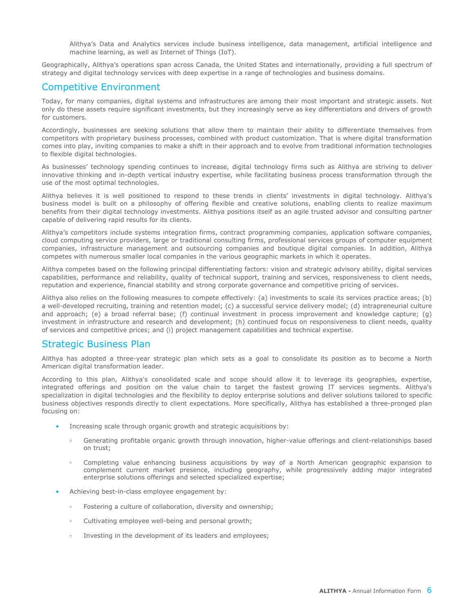Alithya's Data and Analytics services include business intelligence, data management, artificial intelligence and machine learning, as well as Internet of Things (IoT).

<span id="page-6-0"></span>Geographically, Alithya's operations span across Canada, the United States and internationally, providing a full spectrum of strategy and digital technology services with deep expertise in a range of technologies and business domains.

#### Competitive Environment

Today, for many companies, digital systems and infrastructures are among their most important and strategic assets. Not only do these assets require significant investments, but they increasingly serve as key differentiators and drivers of growth for customers.

Accordingly, businesses are seeking solutions that allow them to maintain their ability to differentiate themselves from competitors with proprietary business processes, combined with product customization. That is where digital transformation comes into play, inviting companies to make a shift in their approach and to evolve from traditional information technologies to flexible digital technologies.

As businesses' technology spending continues to increase, digital technology firms such as Alithya are striving to deliver innovative thinking and in-depth vertical industry expertise, while facilitating business process transformation through the use of the most optimal technologies.

Alithya believes it is well positioned to respond to these trends in clients' investments in digital technology. Alithya's business model is built on a philosophy of offering flexible and creative solutions, enabling clients to realize maximum benefits from their digital technology investments. Alithya positions itself as an agile trusted advisor and consulting partner capable of delivering rapid results for its clients.

Alithya's competitors include systems integration firms, contract programming companies, application software companies, cloud computing service providers, large or traditional consulting firms, professional services groups of computer equipment companies, infrastructure management and outsourcing companies and boutique digital companies. In addition, Alithya competes with numerous smaller local companies in the various geographic markets in which it operates.

Alithya competes based on the following principal differentiating factors: vision and strategic advisory ability, digital services capabilities, performance and reliability, quality of technical support, training and services, responsiveness to client needs, reputation and experience, financial stability and strong corporate governance and competitive pricing of services.

Alithya also relies on the following measures to compete effectively: (a) investments to scale its services practice areas; (b) a well-developed recruiting, training and retention model; (c) a successful service delivery model; (d) intrapreneurial culture and approach; (e) a broad referral base; (f) continual investment in process improvement and knowledge capture; (g) investment in infrastructure and research and development; (h) continued focus on responsiveness to client needs, quality of services and competitive prices; and (i) project management capabilities and technical expertise.

### Strategic Business Plan

Alithya has adopted a three-year strategic plan which sets as a goal to consolidate its position as to become a North American digital transformation leader.

According to this plan, Alithya's consolidated scale and scope should allow it to leverage its geographies, expertise, integrated offerings and position on the value chain to target the fastest growing IT services segments. Alithya's specialization in digital technologies and the flexibility to deploy enterprise solutions and deliver solutions tailored to specific business objectives responds directly to client expectations. More specifically, Alithya has established a three-pronged plan focusing on:

- Increasing scale through organic growth and strategic acquisitions by:
	- Generating profitable organic growth through innovation, higher-value offerings and client-relationships based on trust;
	- Completing value enhancing business acquisitions by way of a North American geographic expansion to complement current market presence, including geography, while progressively adding major integrated enterprise solutions offerings and selected specialized expertise;
- Achieving best-in-class employee engagement by:
	- Fostering a culture of collaboration, diversity and ownership;
	- Cultivating employee well-being and personal growth;
	- Investing in the development of its leaders and employees;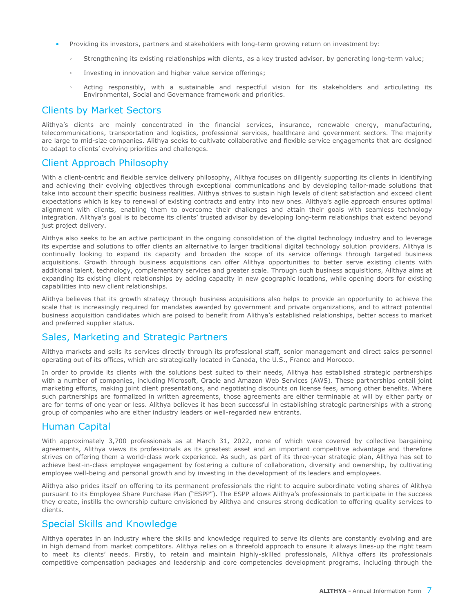- <span id="page-7-0"></span>• Providing its investors, partners and stakeholders with long-term growing return on investment by:
	- Strengthening its existing relationships with clients, as a key trusted advisor, by generating long-term value;
	- Investing in innovation and higher value service offerings;
	- Acting responsibly, with a sustainable and respectful vision for its stakeholders and articulating its Environmental, Social and Governance framework and priorities.

#### Clients by Market Sectors

Alithya's clients are mainly concentrated in the financial services, insurance, renewable energy, manufacturing, telecommunications, transportation and logistics, professional services, healthcare and government sectors. The majority are large to mid-size companies. Alithya seeks to cultivate collaborative and flexible service engagements that are designed to adapt to clients' evolving priorities and challenges.

#### Client Approach Philosophy

With a client-centric and flexible service delivery philosophy, Alithya focuses on diligently supporting its clients in identifying and achieving their evolving objectives through exceptional communications and by developing tailor-made solutions that take into account their specific business realities. Alithya strives to sustain high levels of client satisfaction and exceed client expectations which is key to renewal of existing contracts and entry into new ones. Alithya's agile approach ensures optimal alignment with clients, enabling them to overcome their challenges and attain their goals with seamless technology integration. Alithya's goal is to become its clients' trusted advisor by developing long-term relationships that extend beyond just project delivery.

Alithya also seeks to be an active participant in the ongoing consolidation of the digital technology industry and to leverage its expertise and solutions to offer clients an alternative to larger traditional digital technology solution providers. Alithya is continually looking to expand its capacity and broaden the scope of its service offerings through targeted business acquisitions. Growth through business acquisitions can offer Alithya opportunities to better serve existing clients with additional talent, technology, complementary services and greater scale. Through such business acquisitions, Alithya aims at expanding its existing client relationships by adding capacity in new geographic locations, while opening doors for existing capabilities into new client relationships.

Alithya believes that its growth strategy through business acquisitions also helps to provide an opportunity to achieve the scale that is increasingly required for mandates awarded by government and private organizations, and to attract potential business acquisition candidates which are poised to benefit from Alithya's established relationships, better access to market and preferred supplier status.

### Sales, Marketing and Strategic Partners

Alithya markets and sells its services directly through its professional staff, senior management and direct sales personnel operating out of its offices, which are strategically located in Canada, the U.S., France and Morocco.

In order to provide its clients with the solutions best suited to their needs, Alithya has established strategic partnerships with a number of companies, including Microsoft, Oracle and Amazon Web Services (AWS). These partnerships entail joint marketing efforts, making joint client presentations, and negotiating discounts on license fees, among other benefits. Where such partnerships are formalized in written agreements, those agreements are either terminable at will by either party or are for terms of one year or less. Alithya believes it has been successful in establishing strategic partnerships with a strong group of companies who are either industry leaders or well-regarded new entrants.

#### Human Capital

With approximately 3,700 professionals as at March 31, 2022, none of which were covered by collective bargaining agreements, Alithya views its professionals as its greatest asset and an important competitive advantage and therefore strives on offering them a world-class work experience. As such, as part of its three-year strategic plan, Alithya has set to achieve best-in-class employee engagement by fostering a culture of collaboration, diversity and ownership, by cultivating employee well-being and personal growth and by investing in the development of its leaders and employees.

Alithya also prides itself on offering to its permanent professionals the right to acquire subordinate voting shares of Alithya pursuant to its Employee Share Purchase Plan ("ESPP"). The ESPP allows Alithya's professionals to participate in the success they create, instills the ownership culture envisioned by Alithya and ensures strong dedication to offering quality services to clients.

#### Special Skills and Knowledge

Alithya operates in an industry where the skills and knowledge required to serve its clients are constantly evolving and are in high demand from market competitors. Alithya relies on a threefold approach to ensure it always lines-up the right team to meet its clients' needs. Firstly, to retain and maintain highly-skilled professionals, Alithya offers its professionals competitive compensation packages and leadership and core competencies development programs, including through the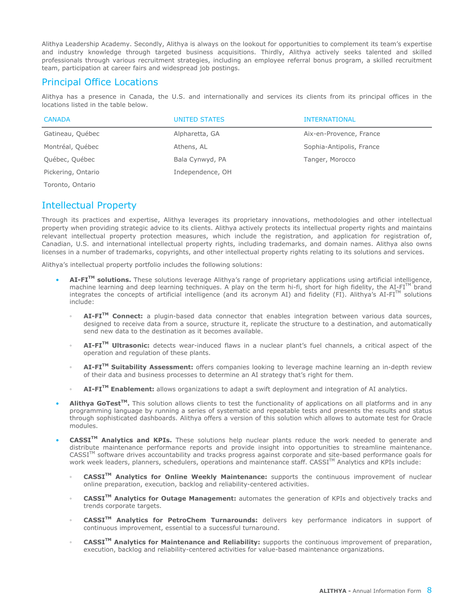<span id="page-8-0"></span>Alithya Leadership Academy. Secondly, Alithya is always on the lookout for opportunities to complement its team's expertise and industry knowledge through targeted business acquisitions. Thirdly, Alithya actively seeks talented and skilled professionals through various recruitment strategies, including an employee referral bonus program, a skilled recruitment team, participation at career fairs and widespread job postings.

### Principal Office Locations

Alithya has a presence in Canada, the U.S. and internationally and services its clients from its principal offices in the locations listed in the table below.

| <b>CANADA</b>      | UNITED STATES    | <b>INTERNATIONAL</b>     |
|--------------------|------------------|--------------------------|
| Gatineau, Québec   | Alpharetta, GA   | Aix-en-Provence, France  |
| Montréal, Québec   | Athens, AL       | Sophia-Antipolis, France |
| Québec, Québec     | Bala Cynwyd, PA  | Tanger, Morocco          |
| Pickering, Ontario | Independence, OH |                          |

Toronto, Ontario

### Intellectual Property

Through its practices and expertise, Alithya leverages its proprietary innovations, methodologies and other intellectual property when providing strategic advice to its clients. Alithya actively protects its intellectual property rights and maintains relevant intellectual property protection measures, which include the registration, and application for registration of, Canadian, U.S. and international intellectual property rights, including trademarks, and domain names. Alithya also owns licenses in a number of trademarks, copyrights, and other intellectual property rights relating to its solutions and services.

Alithya's intellectual property portfolio includes the following solutions:

- **AI-FITM solutions.** These solutions leverage Alithya's range of proprietary applications using artificial intelligence, machine learning and deep learning techniques. A play on the term hi-fi, short for high fidelity, the AI-FI<sup>TM</sup> brand integrates the concepts of artificial intelligence (and its acronym AI) and fidelity (FI). Alithya's AI-FITM solutions include:
	- AI-FI<sup>™</sup> Connect: a plugin-based data connector that enables integration between various data sources, designed to receive data from a source, structure it, replicate the structure to a destination, and automatically send new data to the destination as it becomes available.
	- **AI-FITM Ultrasonic:** detects wear-induced flaws in a nuclear plant's fuel channels, a critical aspect of the operation and regulation of these plants.
	- **AI-FITM Suitability Assessment:** offers companies looking to leverage machine learning an in-depth review of their data and business processes to determine an AI strategy that's right for them.
	- **AI-FITM Enablement:** allows organizations to adapt a swift deployment and integration of AI analytics.
- **Alithya GoTest<sup>™</sup>.** This solution allows clients to test the functionality of applications on all platforms and in any programming language by running a series of systematic and repeatable tests and presents the results and status through sophisticated dashboards. Alithya offers a version of this solution which allows to automate test for Oracle modules.
- **CASSITM Analytics and KPIs.** These solutions help nuclear plants reduce the work needed to generate and distribute maintenance performance reports and provide insight into opportunities to streamline maintenance.  $CASSI<sup>TM</sup>$  software drives accountability and tracks progress against corporate and site-based performance goals for work week leaders, planners, schedulers, operations and maintenance staff. CASSITM Analytics and KPIs include:
	- **CASSITM Analytics for Online Weekly Maintenance:** supports the continuous improvement of nuclear online preparation, execution, backlog and reliability-centered activities.
	- **CASSITM Analytics for Outage Management:** automates the generation of KPIs and objectively tracks and trends corporate targets.
	- **CASSITM Analytics for PetroChem Turnarounds:** delivers key performance indicators in support of continuous improvement, essential to a successful turnaround.
	- **CASSITM Analytics for Maintenance and Reliability:** supports the continuous improvement of preparation, execution, backlog and reliability-centered activities for value-based maintenance organizations.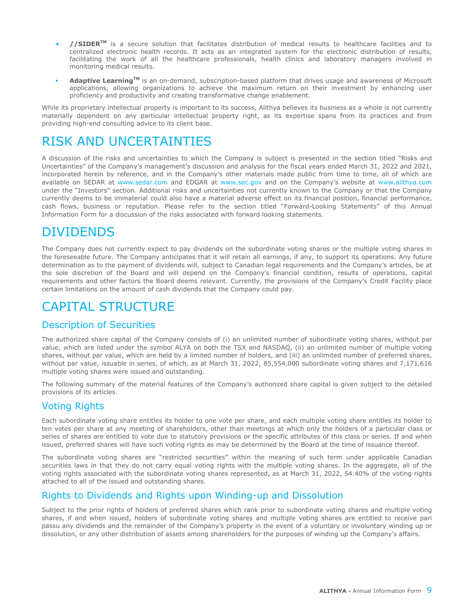- <span id="page-9-0"></span>• **//SIDERTM** is a secure solution that facilitates distribution of medical results to healthcare facilities and to centralized electronic health records. It acts as an integrated system for the electronic distribution of results, facilitating the work of all the healthcare professionals, health clinics and laboratory managers involved in monitoring medical results.
- **• Adaptive LearningTM** is an on-demand, subscription-based platform that drives usage and awareness of Microsoft applications, allowing organizations to achieve the maximum return on their investment by enhancing user proficiency and productivity and creating transformative change enablement.

While its proprietary intellectual property is important to its success, Alithya believes its business as a whole is not currently materially dependent on any particular intellectual property right, as its expertise spans from its practices and from providing high-end consulting advice to its client base.

# RISK AND UNCERTAINTIES

A discussion of the risks and uncertainties to which the Company is subject is presented in the section titled "Risks and Uncertainties" of the Company's management's discussion and analysis for the fiscal years ended March 31, 2022 and 2021, incorporated herein by reference, and in the Company's other materials made public from time to time, all of which are available on SEDAR at www.sedar.com and EDGAR at www.sec.gov and on the Company's website at www.alithya.com under the "Investors" section. Additional risks and uncertainties not currently known to the Company or that the Company currently deems to be immaterial could also have a material adverse effect on its financial position, financial performance, cash flows, business or reputation. Please refer to the section titled "Forward-Looking Statements" of this Annual Information Form for a discussion of the risks associated with forward-looking statements.

# DIVIDENDS

The Company does not currently expect to pay dividends on the subordinate voting shares or the multiple voting shares in the foreseeable future. The Company anticipates that it will retain all earnings, if any, to support its operations. Any future determination as to the payment of dividends will, subject to Canadian legal requirements and the Company's articles, be at the sole discretion of the Board and will depend on the Company's financial condition, results of operations, capital requirements and other factors the Board deems relevant. Currently, the provisions of the Company's Credit Facility place certain limitations on the amount of cash dividends that the Company could pay.

# CAPITAL STRUCTURE

### Description of Securities

The authorized share capital of the Company consists of (i) an unlimited number of subordinate voting shares, without par value, which are listed under the symbol ALYA on both the TSX and NASDAQ, (ii) an unlimited number of multiple voting shares, without par value, which are held by a limited number of holders, and (iii) an unlimited number of preferred shares, without par value, issuable in series, of which, as at March 31, 2022, 85,554,000 subordinate voting shares and 7,171,616 multiple voting shares were issued and outstanding.

The following summary of the material features of the Company's authorized share capital is given subject to the detailed provisions of its articles.

### Voting Rights

Each subordinate voting share entitles its holder to one vote per share, and each multiple voting share entitles its holder to ten votes per share at any meeting of shareholders, other than meetings at which only the holders of a particular class or series of shares are entitled to vote due to statutory provisions or the specific attributes of this class or series. If and when issued, preferred shares will have such voting rights as may be determined by the Board at the time of issuance thereof.

The subordinate voting shares are "restricted securities" within the meaning of such term under applicable Canadian securities laws in that they do not carry equal voting rights with the multiple voting shares. In the aggregate, all of the voting rights associated with the subordinate voting shares represented, as at March 31, 2022, 54.40% of the voting rights attached to all of the issued and outstanding shares.

### Rights to Dividends and Rights upon Winding-up and Dissolution

Subject to the prior rights of holders of preferred shares which rank prior to subordinate voting shares and multiple voting shares, if and when issued, holders of subordinate voting shares and multiple voting shares are entitled to receive pari passu any dividends and the remainder of the Company's property in the event of a voluntary or involuntary winding up or dissolution, or any other distribution of assets among shareholders for the purposes of winding up the Company's affairs.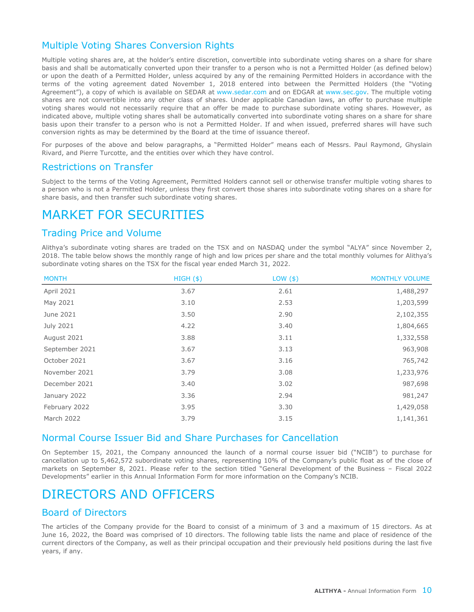### <span id="page-10-0"></span>Multiple Voting Shares Conversion Rights

Multiple voting shares are, at the holder's entire discretion, convertible into subordinate voting shares on a share for share basis and shall be automatically converted upon their transfer to a person who is not a Permitted Holder (as defined below) or upon the death of a Permitted Holder, unless acquired by any of the remaining Permitted Holders in accordance with the terms of the voting agreement dated November 1, 2018 entered into between the Permitted Holders (the "Voting Agreement"), a copy of which is available on SEDAR at www.sedar.com and on EDGAR at www.sec.gov. The multiple voting shares are not convertible into any other class of shares. Under applicable Canadian laws, an offer to purchase multiple voting shares would not necessarily require that an offer be made to purchase subordinate voting shares. However, as indicated above, multiple voting shares shall be automatically converted into subordinate voting shares on a share for share basis upon their transfer to a person who is not a Permitted Holder. If and when issued, preferred shares will have such conversion rights as may be determined by the Board at the time of issuance thereof.

For purposes of the above and below paragraphs, a "Permitted Holder" means each of Messrs. Paul Raymond, Ghyslain Rivard, and Pierre Turcotte, and the entities over which they have control.

#### Restrictions on Transfer

Subject to the terms of the Voting Agreement, Permitted Holders cannot sell or otherwise transfer multiple voting shares to a person who is not a Permitted Holder, unless they first convert those shares into subordinate voting shares on a share for share basis, and then transfer such subordinate voting shares.

### MARKET FOR SECURITIES

### Trading Price and Volume

Alithya's subordinate voting shares are traded on the TSX and on NASDAQ under the symbol "ALYA" since November 2, 2018. The table below shows the monthly range of high and low prices per share and the total monthly volumes for Alithya's subordinate voting shares on the TSX for the fiscal year ended March 31, 2022.

| <b>MONTH</b>   | $HIGH($ \$) | LOW ( \$) | <b>MONTHLY VOLUME</b> |
|----------------|-------------|-----------|-----------------------|
| April 2021     | 3.67        | 2.61      | 1,488,297             |
| May 2021       | 3.10        | 2.53      | 1,203,599             |
| June 2021      | 3.50        | 2.90      | 2,102,355             |
| July 2021      | 4.22        | 3.40      | 1,804,665             |
| August 2021    | 3.88        | 3.11      | 1,332,558             |
| September 2021 | 3.67        | 3.13      | 963,908               |
| October 2021   | 3.67        | 3.16      | 765,742               |
| November 2021  | 3.79        | 3.08      | 1,233,976             |
| December 2021  | 3.40        | 3.02      | 987,698               |
| January 2022   | 3.36        | 2.94      | 981,247               |
| February 2022  | 3.95        | 3.30      | 1,429,058             |
| March 2022     | 3.79        | 3.15      | 1,141,361             |

#### Normal Course Issuer Bid and Share Purchases for Cancellation

On September 15, 2021, the Company announced the launch of a normal course issuer bid ("NCIB") to purchase for cancellation up to 5,462,572 subordinate voting shares, representing 10% of the Company's public float as of the close of markets on September 8, 2021. Please refer to the section titled "General Development of the Business – Fiscal 2022 Developments" earlier in this Annual Information Form for more information on the Company's NCIB.

### DIRECTORS AND OFFICERS

#### Board of Directors

The articles of the Company provide for the Board to consist of a minimum of 3 and a maximum of 15 directors. As at June 16, 2022, the Board was comprised of 10 directors. The following table lists the name and place of residence of the current directors of the Company, as well as their principal occupation and their previously held positions during the last five years, if any.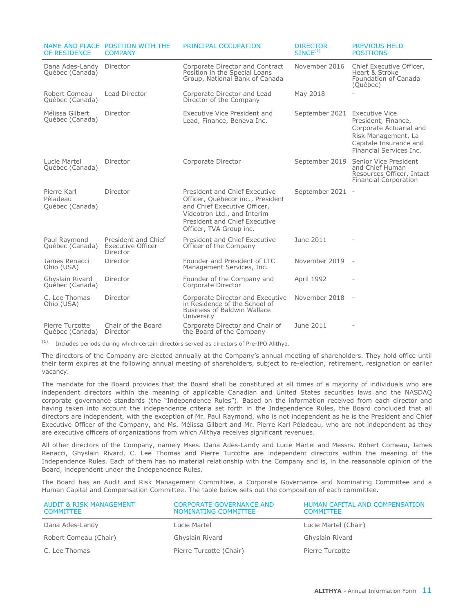| OF RESIDENCE                               | NAME AND PLACE POSITION WITH THE<br><b>COMPANY</b>          | PRINCIPAL OCCUPATION                                                                                                                                                                          | <b>DIRECTOR</b><br>SINCE <sup>(1)</sup> | <b>PREVIOUS HELD</b><br><b>POSITIONS</b>                                                                                                            |
|--------------------------------------------|-------------------------------------------------------------|-----------------------------------------------------------------------------------------------------------------------------------------------------------------------------------------------|-----------------------------------------|-----------------------------------------------------------------------------------------------------------------------------------------------------|
| Dana Ades-Landy<br>Québec (Canada)         | Director                                                    | Corporate Director and Contract<br>Position in the Special Loans<br>Group, National Bank of Canada                                                                                            | November 2016                           | Chief Executive Officer,<br>Heart & Stroke<br>Foundation of Canada<br>(Québec)                                                                      |
| Robert Comeau<br>Québec (Canada)           | Lead Director                                               | Corporate Director and Lead<br>Director of the Company                                                                                                                                        | May 2018                                |                                                                                                                                                     |
| Mélissa Gilbert<br>Québec (Canada)         | Director                                                    | Executive Vice President and<br>Lead, Finance, Beneva Inc.                                                                                                                                    | September 2021                          | <b>Executive Vice</b><br>President, Finance,<br>Corporate Actuarial and<br>Risk Management, La<br>Capitale Insurance and<br>Financial Services Inc. |
| Lucie Martel<br>Québec (Canada)            | Director                                                    | Corporate Director                                                                                                                                                                            | September 2019                          | Senior Vice President<br>and Chief Human<br>Resources Officer, Intact<br>Financial Corporation                                                      |
| Pierre Karl<br>Péladeau<br>Québec (Canada) | Director                                                    | President and Chief Executive<br>Officer, Québecor inc., President<br>and Chief Executive Officer,<br>Videotron Ltd., and Interim<br>President and Chief Executive<br>Officer, TVA Group inc. | September 2021 -                        |                                                                                                                                                     |
| Paul Raymond<br>Québec (Canada)            | President and Chief<br><b>Executive Officer</b><br>Director | President and Chief Executive<br>Officer of the Company                                                                                                                                       | June 2011                               |                                                                                                                                                     |
| James Renacci<br>Ohio (USA)                | Director                                                    | Founder and President of LTC<br>Management Services, Inc.                                                                                                                                     | November 2019                           | $\sim$                                                                                                                                              |
| Ghyslain Rivard<br>Québec (Canada)         | Director                                                    | Founder of the Company and<br>Corporate Director                                                                                                                                              | April 1992                              |                                                                                                                                                     |
| C. Lee Thomas<br>Ohio (USA)                | Director                                                    | Corporate Director and Executive<br>in Residence of the School of<br><b>Business of Baldwin Wallace</b><br>University                                                                         | November 2018 -                         |                                                                                                                                                     |
| Pierre Turcotte<br>Québec (Canada)         | Chair of the Board<br>Director                              | Corporate Director and Chair of<br>the Board of the Company                                                                                                                                   | June 2011                               |                                                                                                                                                     |

(1) Includes periods during which certain directors served as directors of Pre-IPO Alithya.

The directors of the Company are elected annually at the Company's annual meeting of shareholders. They hold office until their term expires at the following annual meeting of shareholders, subject to re-election, retirement, resignation or earlier vacancy.

The mandate for the Board provides that the Board shall be constituted at all times of a majority of individuals who are independent directors within the meaning of applicable Canadian and United States securities laws and the NASDAQ corporate governance standards (the "Independence Rules"). Based on the information received from each director and having taken into account the independence criteria set forth in the Independence Rules, the Board concluded that all directors are independent, with the exception of Mr. Paul Raymond, who is not independent as he is the President and Chief Executive Officer of the Company, and Ms. Mélissa Gilbert and Mr. Pierre Karl Péladeau, who are not independent as they are executive officers of organizations from which Alithya receives significant revenues.

All other directors of the Company, namely Mses. Dana Ades-Landy and Lucie Martel and Messrs. Robert Comeau, James Renacci, Ghyslain Rivard, C. Lee Thomas and Pierre Turcotte are independent directors within the meaning of the Independence Rules. Each of them has no material relationship with the Company and is, in the reasonable opinion of the Board, independent under the Independence Rules.

The Board has an Audit and Risk Management Committee, a Corporate Governance and Nominating Committee and a Human Capital and Compensation Committee. The table below sets out the composition of each committee.

| AUDIT & RISK MANAGEMENT<br><b>COMMITTEE</b> | <b>CORPORATE GOVERNANCE AND</b><br>NOMINATING COMMITTEE | HUMAN CAPITAL AND COMPENSATION<br><b>COMMITTEE</b> |
|---------------------------------------------|---------------------------------------------------------|----------------------------------------------------|
| Dana Ades-Landy                             | Lucie Martel                                            | Lucie Martel (Chair)                               |
| Robert Comeau (Chair)                       | Ghyslain Rivard                                         | Ghyslain Rivard                                    |
| C. Lee Thomas                               | Pierre Turcotte (Chair)                                 | Pierre Turcotte                                    |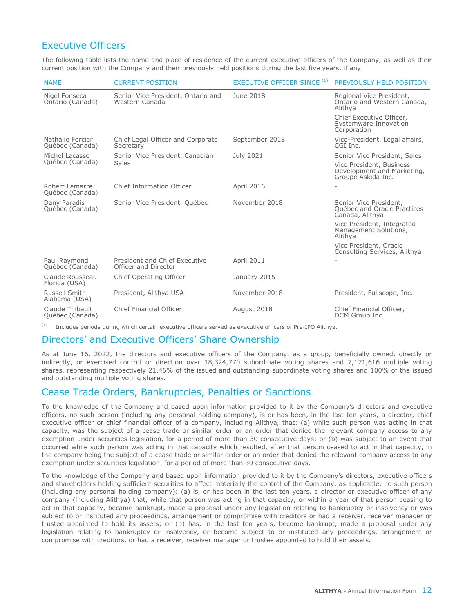### <span id="page-12-0"></span>Executive Officers

The following table lists the name and place of residence of the current executive officers of the Company, as well as their current position with the Company and their previously held positions during the last five years, if any.

| <b>NAME</b>                         | <b>CURRENT POSITION</b>                               | <b>EXECUTIVE OFFICER SINCE (1)</b> | PREVIOUSLY HELD POSITION                                                     |
|-------------------------------------|-------------------------------------------------------|------------------------------------|------------------------------------------------------------------------------|
| Nigel Fonseca<br>Ontario (Canada)   | Senior Vice President, Ontario and<br>Western Canada  | June 2018                          | Regional Vice President,<br>Ontario and Western Canada,<br>Alithya           |
|                                     |                                                       |                                    | Chief Executive Officer,<br>Systemware Innovation<br>Corporation             |
| Nathalie Forcier<br>Québec (Canada) | Chief Legal Officer and Corporate<br>Secretary        | September 2018                     | Vice-President, Legal affairs,<br>CGI Inc.                                   |
| Michel Lacasse                      | Senior Vice President, Canadian                       | July 2021                          | Senior Vice President, Sales                                                 |
| Québec (Canada)                     | Sales                                                 |                                    | Vice President, Business<br>Development and Marketing,<br>Groupe Askida Inc. |
| Robert Lamarre<br>Québec (Canada)   | Chief Information Officer                             | <b>April 2016</b>                  |                                                                              |
| Dany Paradis<br>Québec (Canada)     | Senior Vice President, Québec                         | November 2018                      | Senior Vice President,<br>Québec and Oracle Practices<br>Canada, Alithya     |
|                                     |                                                       |                                    | Vice President, Integrated<br>Management Solutions,<br>Alithya               |
|                                     |                                                       |                                    | Vice President, Oracle<br>Consulting Services, Alithya                       |
| Paul Raymond<br>Québec (Canada)     | President and Chief Executive<br>Officer and Director | <b>April 2011</b>                  |                                                                              |
| Claude Rousseau<br>Florida (USA)    | Chief Operating Officer                               | January 2015                       |                                                                              |
| Russell Smith<br>Alabama (USA)      | President, Alithya USA                                | November 2018                      | President, Fullscope, Inc.                                                   |
| Claude Thibault<br>Québec (Canada)  | Chief Financial Officer                               | August 2018                        | Chief Financial Officer,<br>DCM Group Inc.                                   |

(1) Includes periods during which certain executive officers served as executive officers of Pre-IPO Alithya.

### Directors' and Executive Officers' Share Ownership

As at June 16, 2022, the directors and executive officers of the Company, as a group, beneficially owned, directly or indirectly, or exercised control or direction over 18,324,770 subordinate voting shares and 7,171,616 multiple voting shares, representing respectively 21.46% of the issued and outstanding subordinate voting shares and 100% of the issued and outstanding multiple voting shares.

### Cease Trade Orders, Bankruptcies, Penalties or Sanctions

To the knowledge of the Company and based upon information provided to it by the Company's directors and executive officers, no such person (including any personal holding company), is or has been, in the last ten years, a director, chief executive officer or chief financial officer of a company, including Alithya, that: (a) while such person was acting in that capacity, was the subject of a cease trade or similar order or an order that denied the relevant company access to any exemption under securities legislation, for a period of more than 30 consecutive days; or (b) was subject to an event that occurred while such person was acting in that capacity which resulted, after that person ceased to act in that capacity, in the company being the subject of a cease trade or similar order or an order that denied the relevant company access to any exemption under securities legislation, for a period of more than 30 consecutive days.

To the knowledge of the Company and based upon information provided to it by the Company's directors, executive officers and shareholders holding sufficient securities to affect materially the control of the Company, as applicable, no such person (including any personal holding company): (a) is, or has been in the last ten years, a director or executive officer of any company (including Alithya) that, while that person was acting in that capacity, or within a year of that person ceasing to act in that capacity, became bankrupt, made a proposal under any legislation relating to bankruptcy or insolvency or was subject to or instituted any proceedings, arrangement or compromise with creditors or had a receiver, receiver manager or trustee appointed to hold its assets; or (b) has, in the last ten years, become bankrupt, made a proposal under any legislation relating to bankruptcy or insolvency, or become subject to or instituted any proceedings, arrangement or compromise with creditors, or had a receiver, receiver manager or trustee appointed to hold their assets.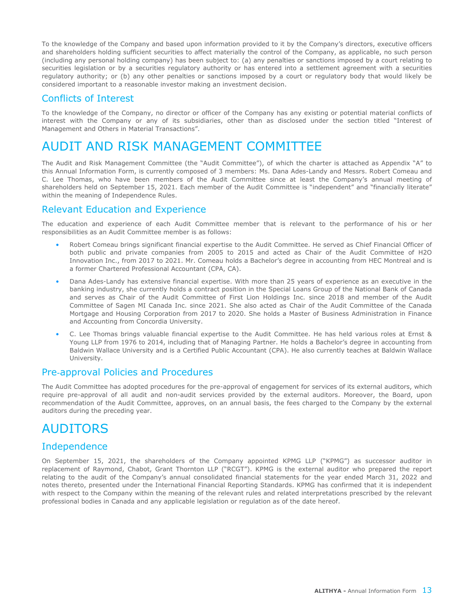<span id="page-13-0"></span>To the knowledge of the Company and based upon information provided to it by the Company's directors, executive officers and shareholders holding sufficient securities to affect materially the control of the Company, as applicable, no such person (including any personal holding company) has been subject to: (a) any penalties or sanctions imposed by a court relating to securities legislation or by a securities regulatory authority or has entered into a settlement agreement with a securities regulatory authority; or (b) any other penalties or sanctions imposed by a court or regulatory body that would likely be considered important to a reasonable investor making an investment decision.

#### Conflicts of Interest

To the knowledge of the Company, no director or officer of the Company has any existing or potential material conflicts of interest with the Company or any of its subsidiaries, other than as disclosed under the section titled "Interest of Management and Others in Material Transactions".

# AUDIT AND RISK MANAGEMENT COMMITTEE

The Audit and Risk Management Committee (the "Audit Committee"), of which the charter is attached as Appendix "A" to this Annual Information Form, is currently composed of 3 members: Ms. Dana Ades-Landy and Messrs. Robert Comeau and C. Lee Thomas, who have been members of the Audit Committee since at least the Company's annual meeting of shareholders held on September 15, 2021. Each member of the Audit Committee is "independent" and "financially literate" within the meaning of Independence Rules.

#### Relevant Education and Experience

The education and experience of each Audit Committee member that is relevant to the performance of his or her responsibilities as an Audit Committee member is as follows:

- Robert Comeau brings significant financial expertise to the Audit Committee. He served as Chief Financial Officer of both public and private companies from 2005 to 2015 and acted as Chair of the Audit Committee of H2O Innovation Inc., from 2017 to 2021. Mr. Comeau holds a Bachelor's degree in accounting from HEC Montreal and is a former Chartered Professional Accountant (CPA, CA).
- Dana Ades-Landy has extensive financial expertise. With more than 25 years of experience as an executive in the banking industry, she currently holds a contract position in the Special Loans Group of the National Bank of Canada and serves as Chair of the Audit Committee of First Lion Holdings Inc. since 2018 and member of the Audit Committee of Sagen MI Canada Inc. since 2021. She also acted as Chair of the Audit Committee of the Canada Mortgage and Housing Corporation from 2017 to 2020. She holds a Master of Business Administration in Finance and Accounting from Concordia University.
- C. Lee Thomas brings valuable financial expertise to the Audit Committee. He has held various roles at Ernst & Young LLP from 1976 to 2014, including that of Managing Partner. He holds a Bachelor's degree in accounting from Baldwin Wallace University and is a Certified Public Accountant (CPA). He also currently teaches at Baldwin Wallace University.

#### Pre-approval Policies and Procedures

The Audit Committee has adopted procedures for the pre-approval of engagement for services of its external auditors, which require pre-approval of all audit and non-audit services provided by the external auditors. Moreover, the Board, upon recommendation of the Audit Committee, approves, on an annual basis, the fees charged to the Company by the external auditors during the preceding year.

### AUDITORS

### Independence

On September 15, 2021, the shareholders of the Company appointed KPMG LLP ("KPMG") as successor auditor in replacement of Raymond, Chabot, Grant Thornton LLP ("RCGT"). KPMG is the external auditor who prepared the report relating to the audit of the Company's annual consolidated financial statements for the year ended March 31, 2022 and notes thereto, presented under the International Financial Reporting Standards. KPMG has confirmed that it is independent with respect to the Company within the meaning of the relevant rules and related interpretations prescribed by the relevant professional bodies in Canada and any applicable legislation or regulation as of the date hereof.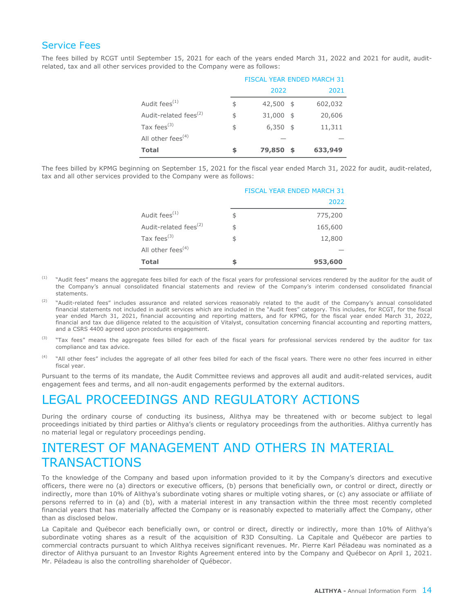#### <span id="page-14-0"></span>Service Fees

The fees billed by RCGT until September 15, 2021 for each of the years ended March 31, 2022 and 2021 for audit, auditrelated, tax and all other services provided to the Company were as follows:

|                                   |                  |      | <b>FISCAL YEAR ENDED MARCH 31</b> |
|-----------------------------------|------------------|------|-----------------------------------|
|                                   | 2022             |      | 2021                              |
| Audit fees $(1)$                  | \$<br>42,500     | - \$ | 602,032                           |
| Audit-related fees <sup>(2)</sup> | \$<br>31,000     | - \$ | 20,606                            |
| Tax fees $^{(3)}$                 | \$<br>$6,350$ \$ |      | 11,311                            |
| All other fees $(4)$              |                  |      |                                   |
| <b>Total</b>                      | \$<br>79,850     | - \$ | 633,949                           |

The fees billed by KPMG beginning on September 15, 2021 for the fiscal year ended March 31, 2022 for audit, audit-related, tax and all other services provided to the Company were as follows:

|                                   | <b>FISCAL YEAR ENDED MARCH 31</b> |
|-----------------------------------|-----------------------------------|
|                                   | 2022                              |
| Audit fees <sup>(1)</sup>         | \$<br>775,200                     |
| Audit-related fees <sup>(2)</sup> | \$<br>165,600                     |
| Tax fees $^{(3)}$                 | \$<br>12,800                      |
| All other fees <sup>(4)</sup>     |                                   |
| <b>Total</b>                      | \$<br>953,600                     |

- <sup>(1)</sup> "Audit fees" means the aggregate fees billed for each of the fiscal years for professional services rendered by the auditor for the audit of the Company's annual consolidated financial statements and review of the Company's interim condensed consolidated financial statements.
- <sup>(2)</sup> "Audit-related fees" includes assurance and related services reasonably related to the audit of the Company's annual consolidated financial statements not included in audit services which are included in the "Audit fees" category. This includes, for RCGT, for the fiscal year ended March 31, 2021, financial accounting and reporting matters, and for KPMG, for the fiscal year ended March 31, 2022, financial and tax due diligence related to the acquisition of Vitalyst, consultation concerning financial accounting and reporting matters, and a CSRS 4400 agreed upon procedures engagement.
- "Tax fees" means the aggregate fees billed for each of the fiscal years for professional services rendered by the auditor for tax compliance and tax advice.
- <sup>(4)</sup> "All other fees" includes the aggregate of all other fees billed for each of the fiscal years. There were no other fees incurred in either fiscal year.

Pursuant to the terms of its mandate, the Audit Committee reviews and approves all audit and audit-related services, audit engagement fees and terms, and all non-audit engagements performed by the external auditors.

### LEGAL PROCEEDINGS AND REGULATORY ACTIONS

During the ordinary course of conducting its business, Alithya may be threatened with or become subject to legal proceedings initiated by third parties or Alithya's clients or regulatory proceedings from the authorities. Alithya currently has no material legal or regulatory proceedings pending.

# INTEREST OF MANAGEMENT AND OTHERS IN MATERIAL **TRANSACTIONS**

To the knowledge of the Company and based upon information provided to it by the Company's directors and executive officers, there were no (a) directors or executive officers, (b) persons that beneficially own, or control or direct, directly or indirectly, more than 10% of Alithya's subordinate voting shares or multiple voting shares, or (c) any associate or affiliate of persons referred to in (a) and (b), with a material interest in any transaction within the three most recently completed financial years that has materially affected the Company or is reasonably expected to materially affect the Company, other than as disclosed below.

La Capitale and Québecor each beneficially own, or control or direct, directly or indirectly, more than 10% of Alithya's subordinate voting shares as a result of the acquisition of R3D Consulting. La Capitale and Québecor are parties to commercial contracts pursuant to which Alithya receives significant revenues. Mr. Pierre Karl Péladeau was nominated as a director of Alithya pursuant to an Investor Rights Agreement entered into by the Company and Québecor on April 1, 2021. Mr. Péladeau is also the controlling shareholder of Québecor.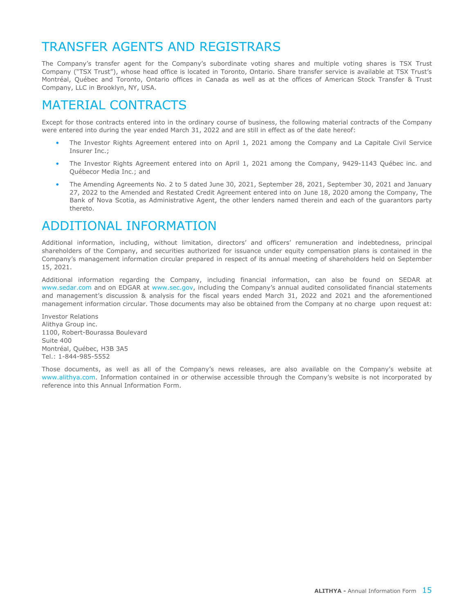# <span id="page-15-0"></span>TRANSFER AGENTS AND REGISTRARS

The Company's transfer agent for the Company's subordinate voting shares and multiple voting shares is TSX Trust Company ("TSX Trust"), whose head office is located in Toronto, Ontario. Share transfer service is available at TSX Trust's Montréal, Québec and Toronto, Ontario offices in Canada as well as at the offices of American Stock Transfer & Trust Company, LLC in Brooklyn, NY, USA.

# MATERIAL CONTRACTS

Except for those contracts entered into in the ordinary course of business, the following material contracts of the Company were entered into during the year ended March 31, 2022 and are still in effect as of the date hereof:

- The Investor Rights Agreement entered into on April 1, 2021 among the Company and La Capitale Civil Service Insurer Inc.;
- The Investor Rights Agreement entered into on April 1, 2021 among the Company, 9429-1143 Québec inc. and Québecor Media Inc.; and
- The Amending Agreements No. 2 to 5 dated June 30, 2021, September 28, 2021, September 30, 2021 and January 27, 2022 to the Amended and Restated Credit Agreement entered into on June 18, 2020 among the Company, The Bank of Nova Scotia, as Administrative Agent, the other lenders named therein and each of the guarantors party thereto.

# ADDITIONAL INFORMATION

Additional information, including, without limitation, directors' and officers' remuneration and indebtedness, principal shareholders of the Company, and securities authorized for issuance under equity compensation plans is contained in the Company's management information circular prepared in respect of its annual meeting of shareholders held on September 15, 2021.

Additional information regarding the Company, including financial information, can also be found on SEDAR at www.sedar.com and on EDGAR at www.sec.gov, including the Company's annual audited consolidated financial statements and management's discussion & analysis for the fiscal years ended March 31, 2022 and 2021 and the aforementioned management information circular. Those documents may also be obtained from the Company at no charge upon request at:

Investor Relations Alithya Group inc. 1100, Robert-Bourassa Boulevard Suite 400 Montréal, Québec, H3B 3A5 Tel.: 1-844-985-5552

Those documents, as well as all of the Company's news releases, are also available on the Company's website at www.alithya.com. Information contained in or otherwise accessible through the Company's website is not incorporated by reference into this Annual Information Form.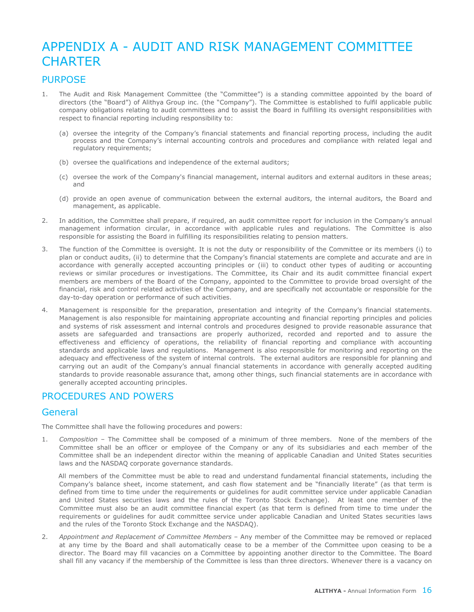# APPENDIX A - AUDIT AND RISK MANAGEMENT COMMITTEE **CHARTER**

#### PURPOSE

- 1. The Audit and Risk Management Committee (the "Committee") is a standing committee appointed by the board of directors (the "Board") of Alithya Group inc. (the "Company"). The Committee is established to fulfil applicable public company obligations relating to audit committees and to assist the Board in fulfilling its oversight responsibilities with respect to financial reporting including responsibility to:
	- (a) oversee the integrity of the Company's financial statements and financial reporting process, including the audit process and the Company's internal accounting controls and procedures and compliance with related legal and regulatory requirements;
	- (b) oversee the qualifications and independence of the external auditors;
	- (c) oversee the work of the Company's financial management, internal auditors and external auditors in these areas; and
	- (d) provide an open avenue of communication between the external auditors, the internal auditors, the Board and management, as applicable.
- 2. In addition, the Committee shall prepare, if required, an audit committee report for inclusion in the Company's annual management information circular, in accordance with applicable rules and regulations. The Committee is also responsible for assisting the Board in fulfilling its responsibilities relating to pension matters.
- 3. The function of the Committee is oversight. It is not the duty or responsibility of the Committee or its members (i) to plan or conduct audits, (ii) to determine that the Company's financial statements are complete and accurate and are in accordance with generally accepted accounting principles or (iii) to conduct other types of auditing or accounting reviews or similar procedures or investigations. The Committee, its Chair and its audit committee financial expert members are members of the Board of the Company, appointed to the Committee to provide broad oversight of the financial, risk and control related activities of the Company, and are specifically not accountable or responsible for the day-to-day operation or performance of such activities.
- 4. Management is responsible for the preparation, presentation and integrity of the Company's financial statements. Management is also responsible for maintaining appropriate accounting and financial reporting principles and policies and systems of risk assessment and internal controls and procedures designed to provide reasonable assurance that assets are safeguarded and transactions are properly authorized, recorded and reported and to assure the effectiveness and efficiency of operations, the reliability of financial reporting and compliance with accounting standards and applicable laws and regulations. Management is also responsible for monitoring and reporting on the adequacy and effectiveness of the system of internal controls. The external auditors are responsible for planning and carrying out an audit of the Company's annual financial statements in accordance with generally accepted auditing standards to provide reasonable assurance that, among other things, such financial statements are in accordance with generally accepted accounting principles.

### PROCEDURES AND POWERS

### **General**

The Committee shall have the following procedures and powers:

1. *Composition* – The Committee shall be composed of a minimum of three members. None of the members of the Committee shall be an officer or employee of the Company or any of its subsidiaries and each member of the Committee shall be an independent director within the meaning of applicable Canadian and United States securities laws and the NASDAQ corporate governance standards.

 All members of the Committee must be able to read and understand fundamental financial statements, including the Company's balance sheet, income statement, and cash flow statement and be "financially literate" (as that term is defined from time to time under the requirements or guidelines for audit committee service under applicable Canadian and United States securities laws and the rules of the Toronto Stock Exchange). At least one member of the Committee must also be an audit committee financial expert (as that term is defined from time to time under the requirements or guidelines for audit committee service under applicable Canadian and United States securities laws and the rules of the Toronto Stock Exchange and the NASDAQ).

2. *Appointment and Replacement of Committee Members* – Any member of the Committee may be removed or replaced at any time by the Board and shall automatically cease to be a member of the Committee upon ceasing to be a director. The Board may fill vacancies on a Committee by appointing another director to the Committee. The Board shall fill any vacancy if the membership of the Committee is less than three directors. Whenever there is a vacancy on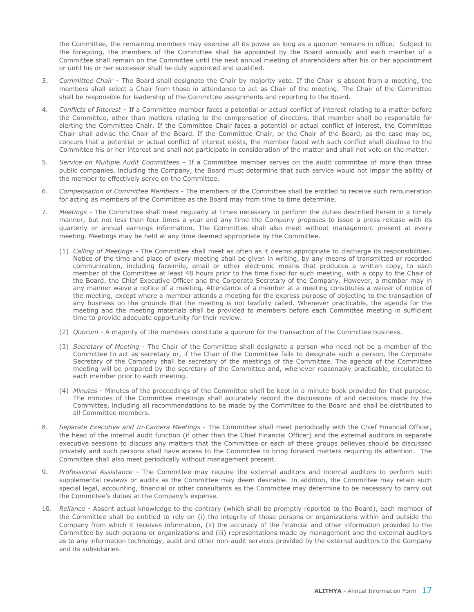the Committee, the remaining members may exercise all its power as long as a quorum remains in office. Subject to the foregoing, the members of the Committee shall be appointed by the Board annually and each member of a Committee shall remain on the Committee until the next annual meeting of shareholders after his or her appointment or until his or her successor shall be duly appointed and qualified.

- 3. *Committee Chair* The Board shall designate the Chair by majority vote. If the Chair is absent from a meeting, the members shall select a Chair from those in attendance to act as Chair of the meeting. The Chair of the Committee shall be responsible for leadership of the Committee assignments and reporting to the Board.
- 4. *Conflicts of Interest* If a Committee member faces a potential or actual conflict of interest relating to a matter before the Committee, other than matters relating to the compensation of directors, that member shall be responsible for alerting the Committee Chair. If the Committee Chair faces a potential or actual conflict of interest, the Committee Chair shall advise the Chair of the Board. If the Committee Chair, or the Chair of the Board, as the case may be, concurs that a potential or actual conflict of interest exists, the member faced with such conflict shall disclose to the Committee his or her interest and shall not participate in consideration of the matter and shall not vote on the matter.
- 5. *Service on Multiple Audit Committees* If a Committee member serves on the audit committee of more than three public companies, including the Company, the Board must determine that such service would not impair the ability of the member to effectively serve on the Committee.
- 6. *Compensation of Committee Members* The members of the Committee shall be entitled to receive such remuneration for acting as members of the Committee as the Board may from time to time determine.
- 7. *Meetings* The Committee shall meet regularly at times necessary to perform the duties described herein in a timely manner, but not less than four times a year and any time the Company proposes to issue a press release with its quarterly or annual earnings information. The Committee shall also meet without management present at every meeting. Meetings may be held at any time deemed appropriate by the Committee.
	- (1) *Calling of Meetings* The Committee shall meet as often as it deems appropriate to discharge its responsibilities. Notice of the time and place of every meeting shall be given in writing, by any means of transmitted or recorded communication, including facsimile, email or other electronic means that produces a written copy, to each member of the Committee at least 48 hours prior to the time fixed for such meeting, with a copy to the Chair of the Board, the Chief Executive Officer and the Corporate Secretary of the Company. However, a member may in any manner waive a notice of a meeting. Attendance of a member at a meeting constitutes a waiver of notice of the meeting, except where a member attends a meeting for the express purpose of objecting to the transaction of any business on the grounds that the meeting is not lawfully called. Whenever practicable, the agenda for the meeting and the meeting materials shall be provided to members before each Committee meeting in sufficient time to provide adequate opportunity for their review.
	- (2) *Quorum* A majority of the members constitute a quorum for the transaction of the Committee business.
	- (3) *Secretary of Meeting* The Chair of the Committee shall designate a person who need not be a member of the Committee to act as secretary or, if the Chair of the Committee fails to designate such a person, the Corporate Secretary of the Company shall be secretary of the meetings of the Committee. The agenda of the Committee meeting will be prepared by the secretary of the Committee and, whenever reasonably practicable, circulated to each member prior to each meeting.
	- (4) *Minutes* Minutes of the proceedings of the Committee shall be kept in a minute book provided for that purpose. The minutes of the Committee meetings shall accurately record the discussions of and decisions made by the Committee, including all recommendations to be made by the Committee to the Board and shall be distributed to all Committee members.
- 8. *Separate Executive and In-Camera Meetings* The Committee shall meet periodically with the Chief Financial Officer, the head of the internal audit function (if other than the Chief Financial Officer) and the external auditors in separate executive sessions to discuss any matters that the Committee or each of these groups believes should be discussed privately and such persons shall have access to the Committee to bring forward matters requiring its attention. The Committee shall also meet periodically without management present.
- 9. *Professional Assistance* The Committee may require the external auditors and internal auditors to perform such supplemental reviews or audits as the Committee may deem desirable. In addition, the Committee may retain such special legal, accounting, financial or other consultants as the Committee may determine to be necessary to carry out the Committee's duties at the Company's expense.
- 10. *Reliance* Absent actual knowledge to the contrary (which shall be promptly reported to the Board), each member of the Committee shall be entitled to rely on (i) the integrity of those persons or organizations within and outside the Company from which it receives information, (ii) the accuracy of the financial and other information provided to the Committee by such persons or organizations and (iii) representations made by management and the external auditors as to any information technology, audit and other non-audit services provided by the external auditors to the Company and its subsidiaries.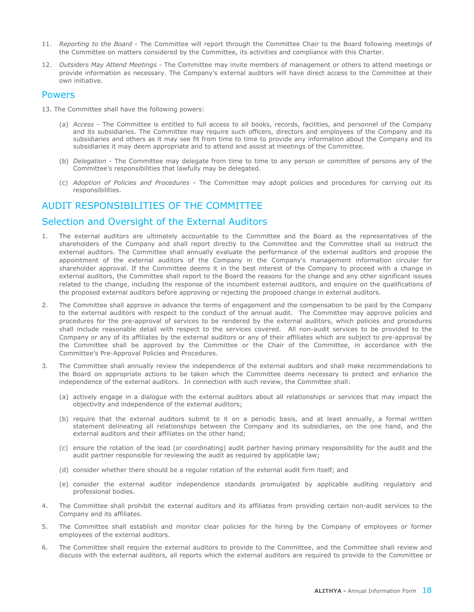- 11. *Reporting to the Board* The Committee will report through the Committee Chair to the Board following meetings of the Committee on matters considered by the Committee, its activities and compliance with this Charter.
- 12. *Outsiders May Attend Meetings* The Committee may invite members of management or others to attend meetings or provide information as necessary. The Company's external auditors will have direct access to the Committee at their own initiative.

#### Powers

- 13. The Committee shall have the following powers:
	- (a) *Access* The Committee is entitled to full access to all books, records, facilities, and personnel of the Company and its subsidiaries. The Committee may require such officers, directors and employees of the Company and its subsidiaries and others as it may see fit from time to time to provide any information about the Company and its subsidiaries it may deem appropriate and to attend and assist at meetings of the Committee.
	- (b) *Delegation* The Committee may delegate from time to time to any person or committee of persons any of the Committee's responsibilities that lawfully may be delegated.
	- (c) *Adoption of Policies and Procedures* The Committee may adopt policies and procedures for carrying out its responsibilities.

### AUDIT RESPONSIBILITIES OF THE COMMITTEE

### Selection and Oversight of the External Auditors

- 1. The external auditors are ultimately accountable to the Committee and the Board as the representatives of the shareholders of the Company and shall report directly to the Committee and the Committee shall so instruct the external auditors. The Committee shall annually evaluate the performance of the external auditors and propose the appointment of the external auditors of the Company in the Company's management information circular for shareholder approval. If the Committee deems it in the best interest of the Company to proceed with a change in external auditors, the Committee shall report to the Board the reasons for the change and any other significant issues related to the change, including the response of the incumbent external auditors, and enquire on the qualifications of the proposed external auditors before approving or rejecting the proposed change in external auditors.
- 2. The Committee shall approve in advance the terms of engagement and the compensation to be paid by the Company to the external auditors with respect to the conduct of the annual audit. The Committee may approve policies and procedures for the pre-approval of services to be rendered by the external auditors, which policies and procedures shall include reasonable detail with respect to the services covered. All non-audit services to be provided to the Company or any of its affiliates by the external auditors or any of their affiliates which are subject to pre-approval by the Committee shall be approved by the Committee or the Chair of the Committee, in accordance with the Committee's Pre-Approval Policies and Procedures.
- 3. The Committee shall annually review the independence of the external auditors and shall make recommendations to the Board on appropriate actions to be taken which the Committee deems necessary to protect and enhance the independence of the external auditors. In connection with such review, the Committee shall:
	- (a) actively engage in a dialogue with the external auditors about all relationships or services that may impact the objectivity and independence of the external auditors;
	- (b) require that the external auditors submit to it on a periodic basis, and at least annually, a formal written statement delineating all relationships between the Company and its subsidiaries, on the one hand, and the external auditors and their affiliates on the other hand;
	- (c) ensure the rotation of the lead (or coordinating) audit partner having primary responsibility for the audit and the audit partner responsible for reviewing the audit as required by applicable law;
	- (d) consider whether there should be a regular rotation of the external audit firm itself; and
	- (e) consider the external auditor independence standards promulgated by applicable auditing regulatory and professional bodies.
- 4. The Committee shall prohibit the external auditors and its affiliates from providing certain non-audit services to the Company and its affiliates.
- 5. The Committee shall establish and monitor clear policies for the hiring by the Company of employees or former employees of the external auditors.
- 6. The Committee shall require the external auditors to provide to the Committee, and the Committee shall review and discuss with the external auditors, all reports which the external auditors are required to provide to the Committee or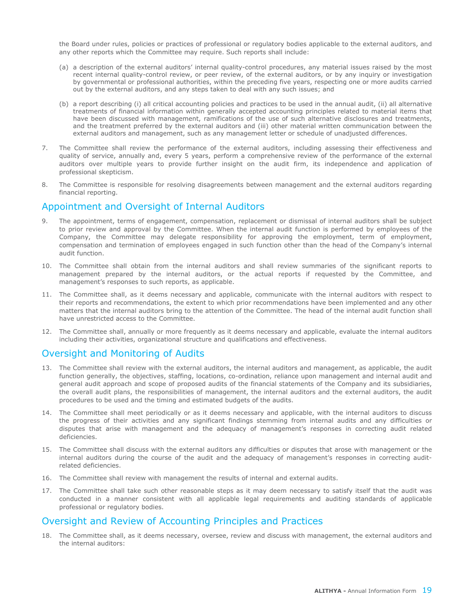the Board under rules, policies or practices of professional or regulatory bodies applicable to the external auditors, and any other reports which the Committee may require. Such reports shall include:

- (a) a description of the external auditors' internal quality-control procedures, any material issues raised by the most recent internal quality-control review, or peer review, of the external auditors, or by any inquiry or investigation by governmental or professional authorities, within the preceding five years, respecting one or more audits carried out by the external auditors, and any steps taken to deal with any such issues; and
- (b) a report describing (i) all critical accounting policies and practices to be used in the annual audit, (ii) all alternative treatments of financial information within generally accepted accounting principles related to material items that have been discussed with management, ramifications of the use of such alternative disclosures and treatments, and the treatment preferred by the external auditors and (iii) other material written communication between the external auditors and management, such as any management letter or schedule of unadjusted differences.
- 7. The Committee shall review the performance of the external auditors, including assessing their effectiveness and quality of service, annually and, every 5 years, perform a comprehensive review of the performance of the external auditors over multiple years to provide further insight on the audit firm, its independence and application of professional skepticism.
- 8. The Committee is responsible for resolving disagreements between management and the external auditors regarding financial reporting.

#### Appointment and Oversight of Internal Auditors

- 9. The appointment, terms of engagement, compensation, replacement or dismissal of internal auditors shall be subject to prior review and approval by the Committee. When the internal audit function is performed by employees of the Company, the Committee may delegate responsibility for approving the employment, term of employment, compensation and termination of employees engaged in such function other than the head of the Company's internal audit function.
- 10. The Committee shall obtain from the internal auditors and shall review summaries of the significant reports to management prepared by the internal auditors, or the actual reports if requested by the Committee, and management's responses to such reports, as applicable.
- 11. The Committee shall, as it deems necessary and applicable, communicate with the internal auditors with respect to their reports and recommendations, the extent to which prior recommendations have been implemented and any other matters that the internal auditors bring to the attention of the Committee. The head of the internal audit function shall have unrestricted access to the Committee.
- 12. The Committee shall, annually or more frequently as it deems necessary and applicable, evaluate the internal auditors including their activities, organizational structure and qualifications and effectiveness.

### Oversight and Monitoring of Audits

- 13. The Committee shall review with the external auditors, the internal auditors and management, as applicable, the audit function generally, the objectives, staffing, locations, co-ordination, reliance upon management and internal audit and general audit approach and scope of proposed audits of the financial statements of the Company and its subsidiaries, the overall audit plans, the responsibilities of management, the internal auditors and the external auditors, the audit procedures to be used and the timing and estimated budgets of the audits.
- 14. The Committee shall meet periodically or as it deems necessary and applicable, with the internal auditors to discuss the progress of their activities and any significant findings stemming from internal audits and any difficulties or disputes that arise with management and the adequacy of management's responses in correcting audit related deficiencies.
- 15. The Committee shall discuss with the external auditors any difficulties or disputes that arose with management or the internal auditors during the course of the audit and the adequacy of management's responses in correcting auditrelated deficiencies.
- 16. The Committee shall review with management the results of internal and external audits.
- 17. The Committee shall take such other reasonable steps as it may deem necessary to satisfy itself that the audit was conducted in a manner consistent with all applicable legal requirements and auditing standards of applicable professional or regulatory bodies.

#### Oversight and Review of Accounting Principles and Practices

18. The Committee shall, as it deems necessary, oversee, review and discuss with management, the external auditors and the internal auditors: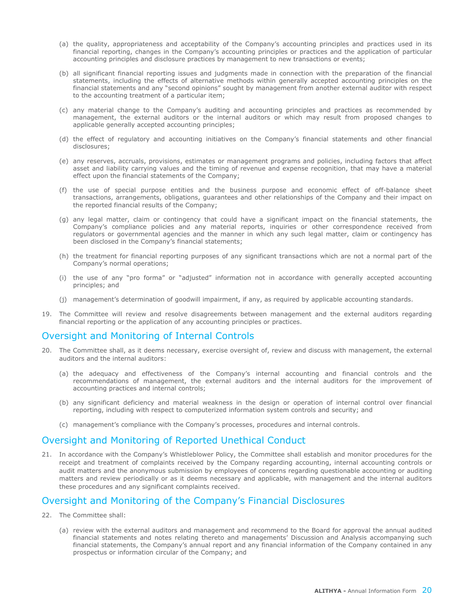- (a) the quality, appropriateness and acceptability of the Company's accounting principles and practices used in its financial reporting, changes in the Company's accounting principles or practices and the application of particular accounting principles and disclosure practices by management to new transactions or events;
- (b) all significant financial reporting issues and judgments made in connection with the preparation of the financial statements, including the effects of alternative methods within generally accepted accounting principles on the financial statements and any "second opinions" sought by management from another external auditor with respect to the accounting treatment of a particular item;
- (c) any material change to the Company's auditing and accounting principles and practices as recommended by management, the external auditors or the internal auditors or which may result from proposed changes to applicable generally accepted accounting principles;
- (d) the effect of regulatory and accounting initiatives on the Company's financial statements and other financial disclosures;
- (e) any reserves, accruals, provisions, estimates or management programs and policies, including factors that affect asset and liability carrying values and the timing of revenue and expense recognition, that may have a material effect upon the financial statements of the Company;
- (f) the use of special purpose entities and the business purpose and economic effect of off-balance sheet transactions, arrangements, obligations, guarantees and other relationships of the Company and their impact on the reported financial results of the Company;
- (g) any legal matter, claim or contingency that could have a significant impact on the financial statements, the Company's compliance policies and any material reports, inquiries or other correspondence received from regulators or governmental agencies and the manner in which any such legal matter, claim or contingency has been disclosed in the Company's financial statements;
- (h) the treatment for financial reporting purposes of any significant transactions which are not a normal part of the Company's normal operations;
- (i) the use of any "pro forma" or "adjusted" information not in accordance with generally accepted accounting principles; and
- (j) management's determination of goodwill impairment, if any, as required by applicable accounting standards.
- 19. The Committee will review and resolve disagreements between management and the external auditors regarding financial reporting or the application of any accounting principles or practices.

#### Oversight and Monitoring of Internal Controls

- 20. The Committee shall, as it deems necessary, exercise oversight of, review and discuss with management, the external auditors and the internal auditors:
	- (a) the adequacy and effectiveness of the Company's internal accounting and financial controls and the recommendations of management, the external auditors and the internal auditors for the improvement of accounting practices and internal controls;
	- (b) any significant deficiency and material weakness in the design or operation of internal control over financial reporting, including with respect to computerized information system controls and security; and
	- (c) management's compliance with the Company's processes, procedures and internal controls.

### Oversight and Monitoring of Reported Unethical Conduct

21. In accordance with the Company's Whistleblower Policy, the Committee shall establish and monitor procedures for the receipt and treatment of complaints received by the Company regarding accounting, internal accounting controls or audit matters and the anonymous submission by employees of concerns regarding questionable accounting or auditing matters and review periodically or as it deems necessary and applicable, with management and the internal auditors these procedures and any significant complaints received.

### Oversight and Monitoring of the Company's Financial Disclosures

- 22. The Committee shall:
	- (a) review with the external auditors and management and recommend to the Board for approval the annual audited financial statements and notes relating thereto and managements' Discussion and Analysis accompanying such financial statements, the Company's annual report and any financial information of the Company contained in any prospectus or information circular of the Company; and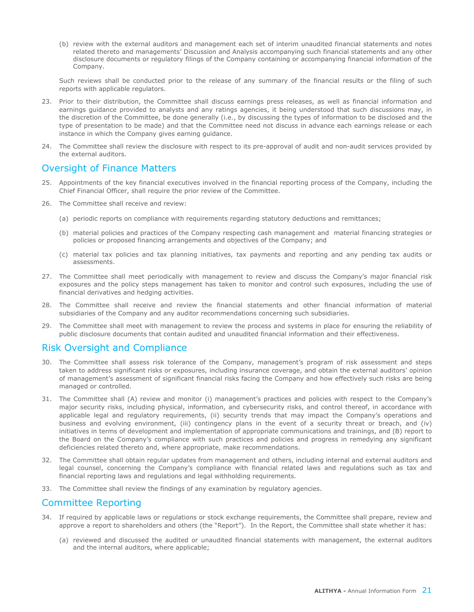(b) review with the external auditors and management each set of interim unaudited financial statements and notes related thereto and managements' Discussion and Analysis accompanying such financial statements and any other disclosure documents or regulatory filings of the Company containing or accompanying financial information of the Company.

Such reviews shall be conducted prior to the release of any summary of the financial results or the filing of such reports with applicable regulators.

- 23. Prior to their distribution, the Committee shall discuss earnings press releases, as well as financial information and earnings guidance provided to analysts and any ratings agencies, it being understood that such discussions may, in the discretion of the Committee, be done generally (i.e., by discussing the types of information to be disclosed and the type of presentation to be made) and that the Committee need not discuss in advance each earnings release or each instance in which the Company gives earning guidance.
- 24. The Committee shall review the disclosure with respect to its pre-approval of audit and non-audit services provided by the external auditors.

#### Oversight of Finance Matters

- 25. Appointments of the key financial executives involved in the financial reporting process of the Company, including the Chief Financial Officer, shall require the prior review of the Committee.
- 26. The Committee shall receive and review:
	- (a) periodic reports on compliance with requirements regarding statutory deductions and remittances;
	- (b) material policies and practices of the Company respecting cash management and material financing strategies or policies or proposed financing arrangements and objectives of the Company; and
	- (c) material tax policies and tax planning initiatives, tax payments and reporting and any pending tax audits or assessments.
- 27. The Committee shall meet periodically with management to review and discuss the Company's major financial risk exposures and the policy steps management has taken to monitor and control such exposures, including the use of financial derivatives and hedging activities.
- 28. The Committee shall receive and review the financial statements and other financial information of material subsidiaries of the Company and any auditor recommendations concerning such subsidiaries.
- 29. The Committee shall meet with management to review the process and systems in place for ensuring the reliability of public disclosure documents that contain audited and unaudited financial information and their effectiveness.

### Risk Oversight and Compliance

- 30. The Committee shall assess risk tolerance of the Company, management's program of risk assessment and steps taken to address significant risks or exposures, including insurance coverage, and obtain the external auditors' opinion of management's assessment of significant financial risks facing the Company and how effectively such risks are being managed or controlled.
- 31. The Committee shall (A) review and monitor (i) management's practices and policies with respect to the Company's major security risks, including physical, information, and cybersecurity risks, and control thereof, in accordance with applicable legal and regulatory requirements, (ii) security trends that may impact the Company's operations and business and evolving environment, (iii) contingency plans in the event of a security threat or breach, and (iv) initiatives in terms of development and implementation of appropriate communications and trainings, and (B) report to the Board on the Company's compliance with such practices and policies and progress in remedying any significant deficiencies related thereto and, where appropriate, make recommendations.
- 32. The Committee shall obtain regular updates from management and others, including internal and external auditors and legal counsel, concerning the Company's compliance with financial related laws and regulations such as tax and financial reporting laws and regulations and legal withholding requirements.
- 33. The Committee shall review the findings of any examination by regulatory agencies.

### Committee Reporting

- 34. If required by applicable laws or regulations or stock exchange requirements, the Committee shall prepare, review and approve a report to shareholders and others (the "Report"). In the Report, the Committee shall state whether it has:
	- (a) reviewed and discussed the audited or unaudited financial statements with management, the external auditors and the internal auditors, where applicable;